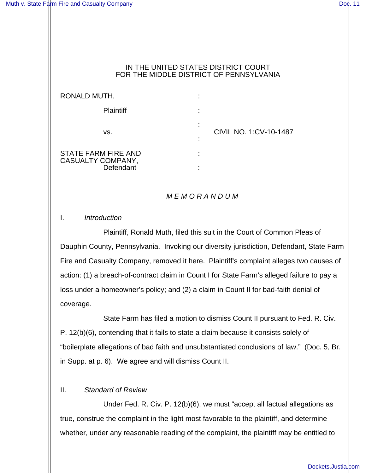#### IN THE UNITED STATES DISTRICT COURT FOR THE MIDDLE DISTRICT OF PENNSYLVANIA

| RONALD MUTH,                                                 | ٠                                |
|--------------------------------------------------------------|----------------------------------|
| <b>Plaintiff</b>                                             |                                  |
| VS.                                                          | ٠<br>CIVIL NO. 1:CV-10-1487<br>٠ |
| <b>STATE FARM FIRE AND</b><br>CASUALTY COMPANY,<br>Defendant |                                  |

## *M E M O R A N D U M*

I. *Introduction*

Plaintiff, Ronald Muth, filed this suit in the Court of Common Pleas of Dauphin County, Pennsylvania. Invoking our diversity jurisdiction, Defendant, State Farm Fire and Casualty Company, removed it here. Plaintiff's complaint alleges two causes of action: (1) a breach-of-contract claim in Count I for State Farm's alleged failure to pay a loss under a homeowner's policy; and (2) a claim in Count II for bad-faith denial of coverage.

State Farm has filed a motion to dismiss Count II pursuant to Fed. R. Civ. P. 12(b)(6), contending that it fails to state a claim because it consists solely of "boilerplate allegations of bad faith and unsubstantiated conclusions of law." (Doc. 5, Br. in Supp. at p. 6). We agree and will dismiss Count II.

# II. *Standard of Review*

Under Fed. R. Civ. P. 12(b)(6), we must "accept all factual allegations as true, construe the complaint in the light most favorable to the plaintiff, and determine whether, under any reasonable reading of the complaint, the plaintiff may be entitled to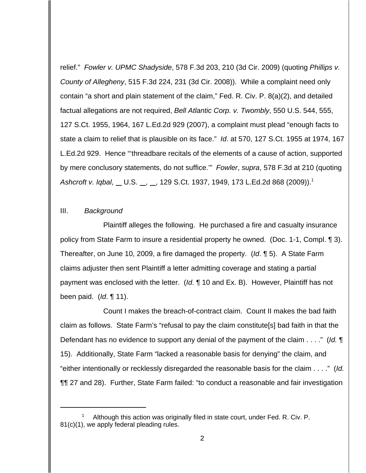relief." *Fowler v. UPMC Shadyside*, 578 F.3d 203, 210 (3d Cir. 2009) (quoting *Phillips v. County of Allegheny*, 515 F.3d 224, 231 (3d Cir. 2008)). While a complaint need only contain "a short and plain statement of the claim," Fed. R. Civ. P. 8(a)(2), and detailed factual allegations are not required, *Bell Atlantic Corp. v. Twombly*, 550 U.S. 544, 555, 127 S.Ct. 1955, 1964, 167 L.Ed.2d 929 (2007), a complaint must plead "enough facts to state a claim to relief that is plausible on its face." *Id*. at 570, 127 S.Ct. 1955 at 1974, 167 L.Ed.2d 929. Hence "'threadbare recitals of the elements of a cause of action, supported by mere conclusory statements, do not suffice.'" *Fowler*, *supra*, 578 F.3d at 210 (quoting *Ashcroft v. Iqbal*, U.S. , , 129 S.Ct. 1937, 1949, 173 L.Ed.2d 868 (2009)).<sup>1</sup>

#### III. *Background*

Plaintiff alleges the following. He purchased a fire and casualty insurance policy from State Farm to insure a residential property he owned. (Doc. 1-1, Compl. ¶ 3). Thereafter, on June 10, 2009, a fire damaged the property. (*Id*. ¶ 5). A State Farm claims adjuster then sent Plaintiff a letter admitting coverage and stating a partial payment was enclosed with the letter. (*Id*. ¶ 10 and Ex. B). However, Plaintiff has not been paid. (*Id*. ¶ 11).

Count I makes the breach-of-contract claim. Count II makes the bad faith claim as follows. State Farm's "refusal to pay the claim constitute[s] bad faith in that the Defendant has no evidence to support any denial of the payment of the claim . . . ." (*Id.* ¶ 15). Additionally, State Farm "lacked a reasonable basis for denying" the claim, and "either intentionally or recklessly disregarded the reasonable basis for the claim . . . ." (*Id.* ¶¶ 27 and 28). Further, State Farm failed: "to conduct a reasonable and fair investigation

Although this action was originally filed in state court, under Fed. R. Civ. P. 81(c)(1), we apply federal pleading rules.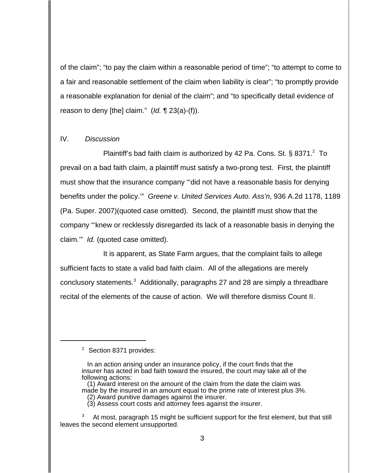of the claim"; "to pay the claim within a reasonable period of time"; "to attempt to come to a fair and reasonable settlement of the claim when liability is clear"; "to promptly provide a reasonable explanation for denial of the claim"; and "to specifically detail evidence of reason to deny [the] claim." (*Id.* ¶ 23(a)-(f)).

### IV. *Discussion*

Plaintiff's bad faith claim is authorized by 42 Pa. Cons. St.  $\S$  8371. $^2$  To prevail on a bad faith claim, a plaintiff must satisfy a two-prong test. First, the plaintiff must show that the insurance company "'did not have a reasonable basis for denying benefits under the policy.'" *Greene v. United Services Auto. Ass'n*, 936 A.2d 1178, 1189 (Pa. Super. 2007)(quoted case omitted). Second, the plaintiff must show that the company "'knew or recklessly disregarded its lack of a reasonable basis in denying the claim.'" *Id.* (quoted case omitted).

It is apparent, as State Farm argues, that the complaint fails to allege sufficient facts to state a valid bad faith claim. All of the allegations are merely conclusory statements.<sup>3</sup> Additionally, paragraphs 27 and 28 are simply a threadbare recital of the elements of the cause of action. We will therefore dismiss Count II.

<sup>&</sup>lt;sup>2</sup> Section 8371 provides:

In an action arising under an insurance policy, if the court finds that the insurer has acted in bad faith toward the insured, the court may take all of the following actions:

 <sup>(1)</sup> Award interest on the amount of the claim from the date the claim was made by the insured in an amount equal to the prime rate of interest plus 3%.

 <sup>(2)</sup> Award punitive damages against the insurer.

 <sup>(3)</sup> Assess court costs and attorney fees against the insurer.

At most, paragraph 15 might be sufficient support for the first element, but that still leaves the second element unsupported.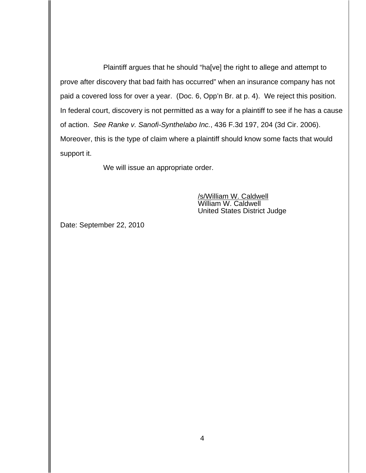Plaintiff argues that he should "ha[ve] the right to allege and attempt to prove after discovery that bad faith has occurred" when an insurance company has not paid a covered loss for over a year. (Doc. 6, Opp'n Br. at p. 4). We reject this position. In federal court, discovery is not permitted as a way for a plaintiff to see if he has a cause of action. *See Ranke v. Sanofi-Synthelabo Inc.*, 436 F.3d 197, 204 (3d Cir. 2006). Moreover, this is the type of claim where a plaintiff should know some facts that would support it.

We will issue an appropriate order.

/s/William W. Caldwell William W. Caldwell United States District Judge

Date: September 22, 2010